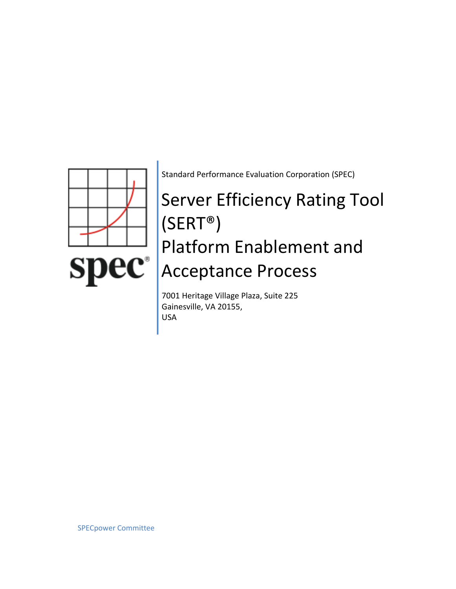

Standard Performance Evaluation Corporation (SPEC)

# Server Efficiency Rating Tool (SERT®) Platform Enablement and Acceptance Process

7001 Heritage Village Plaza, Suite 225 Gainesville, VA 20155, USA

SPECpower Committee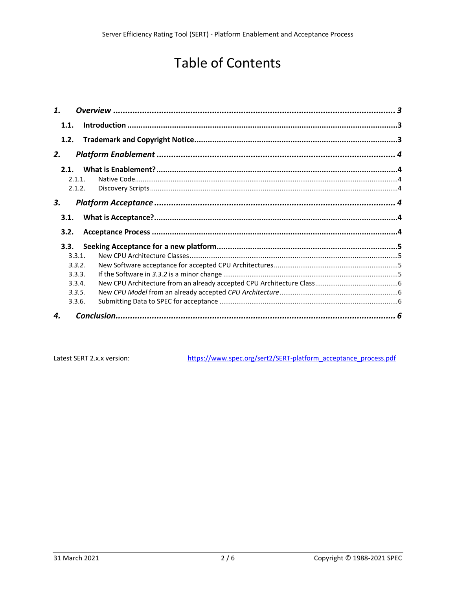# **Table of Contents**

| 1.   |        |  |  |
|------|--------|--|--|
| 1.1. |        |  |  |
| 1.2. |        |  |  |
| 2.   |        |  |  |
| 2.1. |        |  |  |
|      | 211    |  |  |
|      | 2.1.2. |  |  |
| 3.   |        |  |  |
| 3.1. |        |  |  |
| 3.2. |        |  |  |
| 3.3. |        |  |  |
|      | 3.3.1. |  |  |
|      | 3.3.2. |  |  |
|      | 3.3.3. |  |  |
|      | 3.3.4. |  |  |
|      | 3.3.5. |  |  |
|      | 3.3.6. |  |  |
| 4.   |        |  |  |

Latest SERT 2.x.x version:

https://www.spec.org/sert2/SERT-platform acceptance process.pdf

 $2/6$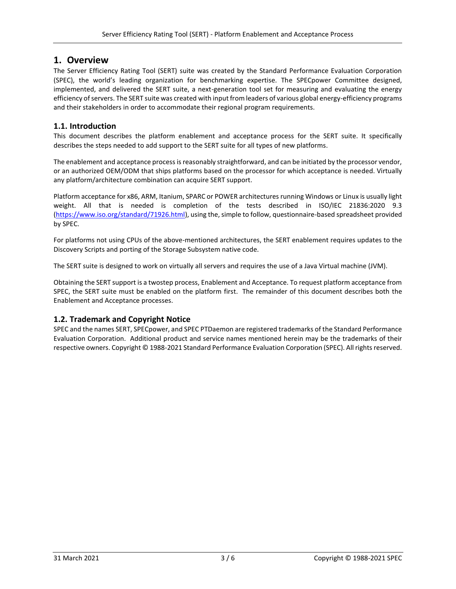# <span id="page-2-0"></span>**1. Overview**

The Server Efficiency Rating Tool (SERT) suite was created by the Standard Performance Evaluation Corporation (SPEC), the world's leading organization for benchmarking expertise. The SPECpower Committee designed, implemented, and delivered the SERT suite, a next-generation tool set for measuring and evaluating the energy efficiency of servers. The SERT suite was created with input from leaders of various global energy-efficiency programs and their stakeholders in order to accommodate their regional program requirements.

# <span id="page-2-1"></span>**1.1. Introduction**

This document describes the platform enablement and acceptance process for the SERT suite. It specifically describes the steps needed to add support to the SERT suite for all types of new platforms.

The enablement and acceptance process is reasonably straightforward, and can be initiated by the processor vendor, or an authorized OEM/ODM that ships platforms based on the processor for which acceptance is needed. Virtually any platform/architecture combination can acquire SERT support.

Platform acceptance for x86, ARM, Itanium, SPARC or POWER architectures running Windows or Linux is usually light weight. All that is needed is completion of the tests described in ISO/IEC 21836:2020 9.3 [\(https://www.iso.org/standard/71926.html\)](https://www.iso.org/standard/71926.html), using the, simple to follow, questionnaire-based spreadsheet provided by SPEC.

For platforms not using CPUs of the above-mentioned architectures, the SERT enablement requires updates to the Discovery Scripts and porting of the Storage Subsystem native code.

The SERT suite is designed to work on virtually all servers and requires the use of a Java Virtual machine (JVM).

Obtaining the SERT support is a twostep process, Enablement and Acceptance. To request platform acceptance from SPEC, the SERT suite must be enabled on the platform first. The remainder of this document describes both the Enablement and Acceptance processes.

# <span id="page-2-2"></span>**1.2. Trademark and Copyright Notice**

SPEC and the names SERT, SPECpower, and SPEC PTDaemon are registered trademarks of the Standard Performance Evaluation Corporation. Additional product and service names mentioned herein may be the trademarks of their respective owners. Copyright © 1988-2021 Standard Performance Evaluation Corporation (SPEC). All rights reserved.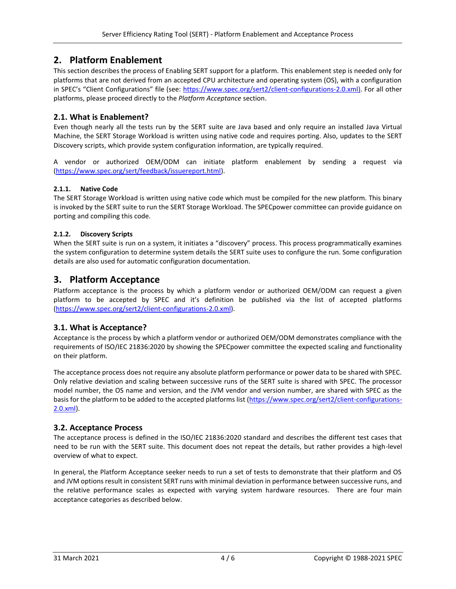# <span id="page-3-0"></span>**2. Platform Enablement**

This section describes the process of Enabling SERT support for a platform. This enablement step is needed only for platforms that are not derived from an accepted CPU architecture and operating system (OS), with a configuration in SPEC's "Client Configurations" file (see: [https://www.spec.org/sert2/client-configurations-2.0.xml\)](https://www.spec.org/sert2/client-configurations-2.0.xml). For all other platforms, please proceed directly to the *[Platform Acceptance](#page-3-4)* section.

# <span id="page-3-1"></span>**2.1. What is Enablement?**

Even though nearly all the tests run by the SERT suite are Java based and only require an installed Java Virtual Machine, the SERT Storage Workload is written using native code and requires porting. Also, updates to the SERT Discovery scripts, which provide system configuration information, are typically required.

A vendor or authorized OEM/ODM can initiate platform enablement by sending a request via [\(https://www.spec.org/sert/feedback/issuereport.html\)](https://www.spec.org/sert/feedback/issuereport.html).

#### <span id="page-3-2"></span>**2.1.1. Native Code**

The SERT Storage Workload is written using native code which must be compiled for the new platform. This binary is invoked by the SERT suite to run the SERT Storage Workload. The SPECpower committee can provide guidance on porting and compiling this code.

#### <span id="page-3-3"></span>**2.1.2. Discovery Scripts**

When the SERT suite is run on a system, it initiates a "discovery" process. This process programmatically examines the system configuration to determine system details the SERT suite uses to configure the run. Some configuration details are also used for automatic configuration documentation.

# <span id="page-3-4"></span>**3. Platform Acceptance**

Platform acceptance is the process by which a platform vendor or authorized OEM/ODM can request a given platform to be accepted by SPEC and it's definition be published via the list of accepted platforms [\(https://www.spec.org/sert2/client-configurations-2.0.xml\)](https://www.spec.org/sert2/client-configurations-2.0.xml).

# <span id="page-3-5"></span>**3.1. What is Acceptance?**

Acceptance is the process by which a platform vendor or authorized OEM/ODM demonstrates compliance with the requirements of ISO/IEC 21836:2020 by showing the SPECpower committee the expected scaling and functionality on their platform.

The acceptance process does not require any absolute platform performance or power data to be shared with SPEC. Only relative deviation and scaling between successive runs of the SERT suite is shared with SPEC. The processor model number, the OS name and version, and the JVM vendor and version number, are shared with SPEC as the basis for the platform to be added to the accepted platforms list [\(https://www.spec.org/sert2/client-configurations-](https://www.spec.org/sert2/client-configurations-2.0.xml)[2.0.xml\)](https://www.spec.org/sert2/client-configurations-2.0.xml).

# <span id="page-3-6"></span>**3.2. Acceptance Process**

The acceptance process is defined in the ISO/IEC 21836:2020 standard and describes the different test cases that need to be run with the SERT suite. This document does not repeat the details, but rather provides a high-level overview of what to expect.

In general, the Platform Acceptance seeker needs to run a set of tests to demonstrate that their platform and OS and JVM options result in consistent SERT runs with minimal deviation in performance between successive runs, and the relative performance scales as expected with varying system hardware resources. There are four main acceptance categories as described below.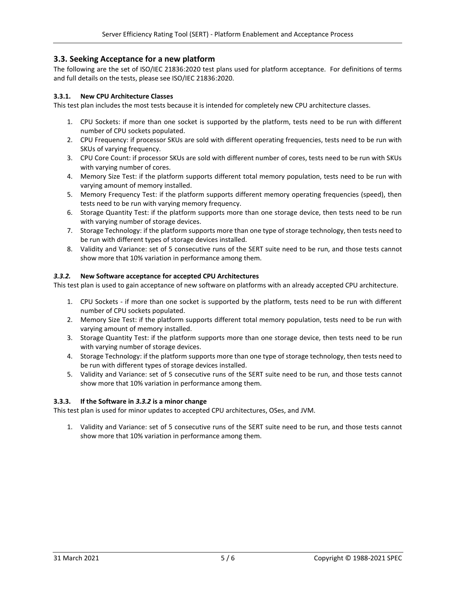#### <span id="page-4-0"></span>**3.3. Seeking Acceptance for a new platform**

The following are the set of ISO/IEC 21836:2020 test plans used for platform acceptance. For definitions of terms and full details on the tests, please see ISO/IEC 21836:2020.

#### <span id="page-4-1"></span>**3.3.1. New CPU Architecture Classes**

This test plan includes the most tests because it is intended for completely new CPU architecture classes.

- 1. CPU Sockets: if more than one socket is supported by the platform, tests need to be run with different number of CPU sockets populated.
- 2. CPU Frequency: if processor SKUs are sold with different operating frequencies, tests need to be run with SKUs of varying frequency.
- 3. CPU Core Count: if processor SKUs are sold with different number of cores, tests need to be run with SKUs with varying number of cores.
- 4. Memory Size Test: if the platform supports different total memory population, tests need to be run with varying amount of memory installed.
- 5. Memory Frequency Test: if the platform supports different memory operating frequencies (speed), then tests need to be run with varying memory frequency.
- 6. Storage Quantity Test: if the platform supports more than one storage device, then tests need to be run with varying number of storage devices.
- 7. Storage Technology: if the platform supports more than one type of storage technology, then tests need to be run with different types of storage devices installed.
- 8. Validity and Variance: set of 5 consecutive runs of the SERT suite need to be run, and those tests cannot show more that 10% variation in performance among them.

#### <span id="page-4-2"></span>*3.3.2.* **New Software acceptance for accepted CPU Architectures**

This test plan is used to gain acceptance of new software on platforms with an already accepted CPU architecture.

- 1. CPU Sockets if more than one socket is supported by the platform, tests need to be run with different number of CPU sockets populated.
- 2. Memory Size Test: if the platform supports different total memory population, tests need to be run with varying amount of memory installed.
- 3. Storage Quantity Test: if the platform supports more than one storage device, then tests need to be run with varying number of storage devices.
- 4. Storage Technology: if the platform supports more than one type of storage technology, then tests need to be run with different types of storage devices installed.
- 5. Validity and Variance: set of 5 consecutive runs of the SERT suite need to be run, and those tests cannot show more that 10% variation in performance among them.

#### <span id="page-4-3"></span>**3.3.3. If the Software in** *[3.3.2](#page-4-2)* **is a minor change**

This test plan is used for minor updates to accepted CPU architectures, OSes, and JVM.

1. Validity and Variance: set of 5 consecutive runs of the SERT suite need to be run, and those tests cannot show more that 10% variation in performance among them.